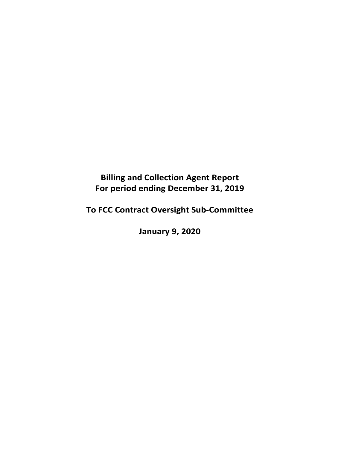**Billing and Collection Agent Report For period ending December 31, 2019** 

**To FCC Contract Oversight Sub‐Committee** 

**January 9, 2020**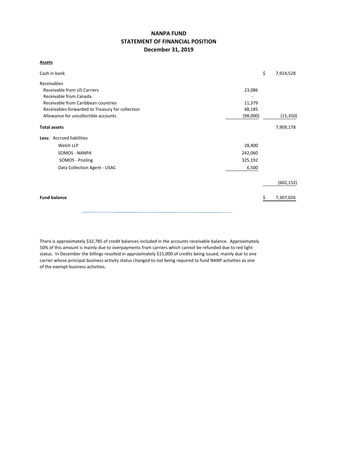# **NANPA FUND STATEMENT OF FINANCIAL POSITION December 31, 2019**

**Assets**

| Cash in bank                                     |          | \$<br>7,924,528 |
|--------------------------------------------------|----------|-----------------|
| Receivables                                      |          |                 |
| Receivable from US Carriers                      | 23,086   |                 |
| Receivable from Canada                           |          |                 |
| Receivable from Caribbean countries              | 11,379   |                 |
| Receivables forwarded to Treasury for collection | 48,185   |                 |
| Allowance for uncollectible accounts             | (98,000) | (15, 350)       |
| <b>Total assets</b>                              |          | 7,909,178       |
| Less: Accrued liabilities                        |          |                 |
| Welch LLP                                        | 28,400   |                 |
| SOMOS - NANPA                                    | 242,060  |                 |
| SOMOS - Pooling                                  | 325,192  |                 |
| Data Collection Agent - USAC                     | 6,500    |                 |
|                                                  |          | (602, 152)      |
| <b>Fund balance</b>                              |          | 7,307,026       |

There is approximately \$32,785 of credit balances included in the accounts receivable balance. Approximately 50% of this amount is mainly due to overpayments from carriers which cannot be refunded due to red light status. In December the billings resulted in approximately \$15,000 of credits being issued, mainly due to one carrier whose principal business activity status changed to not being required to fund NANP activities as one of the exempt business activities.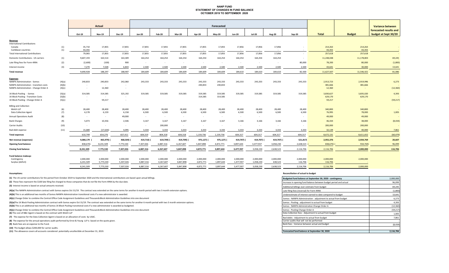#### **NANP FUND STATEMENT OF CHANGES IN FUND BALANCE OCTOBER 2019 TO SEPTEMBER 2020**

|                                                |        |               | Actual        |               | Forecasted    |               |                |           |            |               |               |               |           |              |               | <b>Variance between</b> |  |
|------------------------------------------------|--------|---------------|---------------|---------------|---------------|---------------|----------------|-----------|------------|---------------|---------------|---------------|-----------|--------------|---------------|-------------------------|--|
|                                                |        |               |               |               |               |               |                |           |            |               |               |               |           |              |               | forecasted results and  |  |
|                                                |        | Oct-19        | <b>Nov-19</b> | <b>Dec-19</b> | <b>Jan-20</b> | Feb-20        | Mar-20         | Apr-20    | May-20     | <b>Jun-20</b> | <b>Jul-20</b> | <b>Aug-20</b> | $Sep-20$  | <b>Total</b> | <b>Budget</b> | budget at Sept 30/20    |  |
| Revenue                                        |        |               |               |               |               |               |                |           |            |               |               |               |           |              |               |                         |  |
| <b>International Contributions</b>             |        |               |               |               |               |               |                |           |            |               |               |               |           |              |               |                         |  |
| Canada                                         | (1)    | 35,710        | 17,855        | 17,855        | 17,855        | 17,855        | 17,855         | 17,855    | 17,855     | 17,856        | 17,856        | 17,856        |           | 214,263      | 214,263       |                         |  |
| Caribbean countries                            | (1)    | 43,355        | $\sim$        | $\sim$        | $\sim$        |               |                | $\sim$    | $\sim$     | $\sim$        |               | $\sim$        |           | 43,355       | 43,355        |                         |  |
| <b>Total International Contributions</b>       |        | 79,065        | 17,855        | 17,855        | 17,855        | 17,855        | 17,855         | 17,855    | 17,855     | 17,856        | 17,856        | 17,856        | $\sim$    | 257,618      | 257,618       |                         |  |
| Domestic Contributions - US carriers           | (1)    | 9,607,193     | 163,514       | 163,309       | 164,254       | 164,254       | 164,254        | 164,254   | 164,254    | 164,254       | 164,254       | 164,254       | $\sim$    | 11,248,048   | 11,178,803    | 69,245                  |  |
| Late filing fees for Form 499A                 | (2)    | (2,600)       | (100)         | 900           | $\sim$        | $\sim$        | $\overline{a}$ | $\sim$    | $\sim$     | $\sim$        | $\sim$        | $\sim$        | 80,000    | 78,200       | 80,000        | (1,800)                 |  |
| Interest income                                | (3)    | 7,270         | 7,028         | 6,843         | 2,500         | 2,500         | 2,500          | 2,500     | 2,500      | 2,500         | 2,500         | 2,500         | 2,500     | 43,641       | 30,000        | 13,641                  |  |
| Total revenue                                  |        | 9,690,928     | 188,297       | 188,907       | 184,609       | 184,609       | 184,609        | 184,609   | 184,609    | 184,610       | 184,610       | 184,610       | 82,500    | 11,627,507   | 11,546,421    | 81,086                  |  |
| <b>Expenses</b>                                |        |               |               |               |               |               |                |           |            |               |               |               |           |              |               |                         |  |
| <b>NANPA Administration - Somos</b>            | (4)(a) | 240,833       | 240,833       | 242,060       | 243,333       | 243,333       | 243,333        | 243,333   | 243,333    | 243,333       | 243,333       | 243,333       | 243,333   | 2,913,723    | 2,919,996     | 6,273                   |  |
| <b>NANPA Administration - transition costs</b> | (4)(b) | $\sim$ $\sim$ | $\sim$        | $\sim$        |               |               |                | 240,833   | 240,833    |               |               |               |           | 481,666      | 481,666       |                         |  |
| NANPA Administration - Change Order A          | (4)(c) | $\sim$        | 12,360        | $\sim$        |               |               |                |           |            |               |               |               |           | 12,360       |               | (12, 360)               |  |
| 1K Block Pooling - Somos                       | (5)(a) | 314,585       | 314,585       | 325,192       | 319,585       | 319,585       | 319,585        | 319,585   | 319,585    | 319,585       | 319,585       | 319,585       | 319,585   | 3,830,627    | 3,835,020     | 4,393                   |  |
| 1K Block Pooling - Transition Costs            | (5)(b) | $\sim$        | $\sim$        | $\sim$        |               |               |                | 314,585   | 314,585    |               |               |               |           | 629,170      | 629,170       |                         |  |
| 1K Block Pooling - Change Order A              | (5)(c) | $\sim$        | 59,217        | $\sim$        |               |               |                |           |            |               |               |               |           | 59,217       |               | (59, 217)               |  |
| <b>Billing and Collection</b>                  |        |               |               |               |               |               |                |           |            |               |               |               |           |              |               |                         |  |
| Welch LLP                                      | (6)    | 28,400        | 28,400        | 28,400        | 28,400        | 28,400        | 28,400         | 28,400    | 28,400     | 28,400        | 28,400        | 28,400        | 28,400    | 340,800      | 340,800       |                         |  |
| <b>Data Collection Agent</b>                   | (7)    | 6,178         | 6,159         | 6,158         | 6,500         | 6,500         | 6,500          | 6,500     | 6,500      | 6,500         | 6,500         | 6,500         | 6,500     | 76,995       | 78,000        | 1,005                   |  |
| <b>Annual Operations Audit</b>                 | (8)    | $\sim$        | $\sim 10$     | 49,000        | $\sim$        | $\sim$ $\sim$ | $\sim$         | $\sim$    | $\sim$     | $\sim$        | $\sim$        |               |           | 49,000       | 49,000        |                         |  |
| <b>Bank Charges</b>                            | (9)    | 5,073         | 10,356        | 2,506         | 3,167         | 3,167         | 3,167          | 3,167     | 3,167      | 3,166         | 3,166         | 3,166         | 3,166     | 46,434       | 38,000        | (8, 434)                |  |
| Carrier Audits                                 | (10)   | $\sim$        | $\sim$        | $\sim$ $-$    | $\sim$        | 200,000       | $\sim$         | $\sim$    | $\sim$ $-$ | $\sim$ $-$    | $\sim$        | $\sim$        | $\sim$    | 200,000      | 200,000       |                         |  |
| Bad debt expense                               | (11)   | 15,680        | (17, 634)     | 4,095         | 3,334         | 3,333         | 3,333          | 3,333     | 3,333      | 3,333         | 3,333         | 3,333         | 3,333     | 32,139       | 40,000        | 7,861                   |  |
| <b>Total expenses</b>                          |        | 610,749       | 654,276       | 657,411       | 604,319       | 804,318       | 604,318        | 1,159,736 | 1,159,736  | 604,317       | 604,317       | 604,317       | 604,317   | 8,672,131    | 8,611,652     | (60, 479)               |  |
| Net revenue (expenses)                         |        | 9,080,179     | 465,979)      | 468,504) (    | 419,710)      | 619,709)      | 419,709)       | 975,127)  | 975,127) ( | 419,707) (    | 419,707)      | 419,707) (    | 521,817)  | 2,955,376    | 2,934,769     | 20,607                  |  |
| <b>Opening fund balance</b>                    |        | 838,670)      | 8,241,509     | 7,775,530     | 7,307,026     | 6,887,316     | 6,267,607      | 5,847,898 | 4,872,771  | 3,897,644     | 3,477,937     | 3,058,230     | 2,638,523 | 838,670)     | 934,769)      | 96,099                  |  |
| <b>Closing fund balance</b>                    |        | 8,241,509     | 7,775,530     | 7,307,026     | 6,887,316     | 6,267,607     | 5,847,898      | 4,872,771 | 3,897,644  | 3,477,937     | 3,058,230     | 2,638,523     | 2,116,706 | 2,116,706    | 2,000,000     | 116,706                 |  |
| Fund balance makeup:                           |        |               |               |               |               |               |                |           |            |               |               |               |           |              |               |                         |  |
| Contingency                                    |        | 2,000,000     | 2,000,000     | 2,000,000     | 2,000,000     | 2,000,000     | 2,000,000      | 2,000,000 | 2,000,000  | 2,000,000     | 2,000,000     | 2,000,000     | 2,000,000 | 2,000,000    | 2,000,000     |                         |  |
| Surplus (deficit)                              |        | 6,241,509     | 5,775,530     | 5,307,026     | 4,887,316     | 4,267,607     | 3,847,898      | 2,872,771 | 1,897,644  | 1,477,937     | 1,058,230     | 638,523       | 116,706   | 116,706      |               |                         |  |
|                                                |        | 8,241,509     | 7,775,530     | 7,307,026     | 6,887,316     | 6,267,607     | 5,847,898      | 4,872,771 | 3,897,644  | 3,477,937     | 3,058,230     | 2,638,523     | 2,116,706 | 2,116,706    | 2,000,000     |                         |  |

**(1)** The US carrier contributions for the period from October 2019 to September 2020 and the International contributions are based upon actual billings.

**(11)** The allowance covers all accounts considered potentially uncollectible at December 31, 2019.

#### **Assumptions: Reconciliation of actual to budget**

| (1) The US carrier contributions for the period from October 2019 to September 2020 and the International contributions are based upon actual billings.                                    | Budgeted fund balance at September 30, 2020 - contingency         | 2,000,000 |  |
|--------------------------------------------------------------------------------------------------------------------------------------------------------------------------------------------|-------------------------------------------------------------------|-----------|--|
| (2) These fees represent the \$100 late filing fee charged to those companies that do not file the Form 499A by the due date.                                                              | Increase in opening fund balance between budget period and actual | 96,099    |  |
| (3) Interest income is based on actual amounts received.                                                                                                                                   | Additional billings over estimate from budget                     | 69,245    |  |
| (4)(a) The NANPA Administration contract with Somos expires Oct 31/19. The contract was extended on the same terms for another 6 month period with two 3 month extension options.          | Late filing fees (reversal) for Form 499A                         | (1,800)   |  |
| (4)(b) This is an additional two months of Somos NANPA Administration transitional costs if a new administrator is awarded.                                                                | Underestimate of interest earned to date compared to budget       | 13,641    |  |
| (4)(c) Change Order to combine the Central Office Code Assignment Guidelines and Thousands Block Administration Guidelines into one document                                               | Somos - NANPA Administration - adjustment to actual from budget   | 6,273     |  |
| (5)(a)The 1K Block Pooling Administration contract with Somos expire Oct 31/19. The contract was extended on the same terms for another 6 month period with two 3 month extension options. | Somos - Pooling - adjustment to actual from budget                | 4,393     |  |
| (5)(b) This is an additional two months of Somos 1K Block Pooling transitional costs if a new administrator is awarded as budgeted.                                                        | Somos - NANPA Administration Change Order A                       | (12, 360) |  |
| (5)(c) Change Order to combine the Central Office Code Assignment Guidelines and Thousands Block Administration Guidelines into one document                                               | Somos - Pooling Change Order A                                    | (59, 217) |  |
| (6) The cost of B&C Agent is based on the contract with Welch LLP                                                                                                                          | Data Collection fees - Adjustment to actual from budget           | 1,005     |  |
| (7) The expense for the Data Collection Agent is based on an allocation of costs by USAC.                                                                                                  | Bad debts - Adjustment to actual from budget                      | 7,861     |  |
| (8) The expense for the annual operations audit performed by Ernst & Young LLP is based on the quote given.                                                                                | Carrier audits that will not be performed                         |           |  |
| (9) Bank fees are an expense to the Fund.                                                                                                                                                  | Bank fees - Variance between actual and budget                    | (8,434)   |  |
| (10) The budget allows \$200,000 for carrier audits.                                                                                                                                       |                                                                   |           |  |
| (11) The allowance covers all accounts considered potentially uncollectible at December 31, 2019.                                                                                          | Forecasted fund balance at September 30, 2020                     | 2.116.706 |  |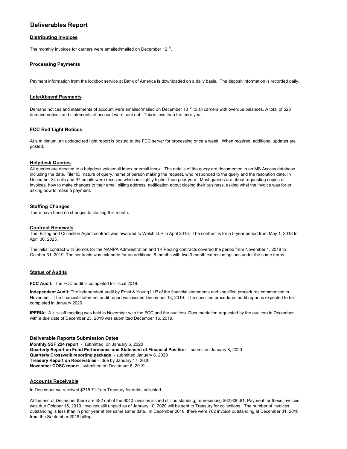## **Deliverables Report**

#### **Distributing invoices**

The monthly invoices for carriers were emailed/mailed on December 12<sup>th</sup>.

## **Processing Payments**

Payment information from the lockbox service at Bank of America is downloaded on a daily basis. The deposit information is recorded daily.

#### **Late/Absent Payments**

Demand notices and statements of account were emailed/mailed on December 13  $^{\rm th}$  to all carriers with overdue balances. A total of 528 demand notices and statements of account were sent out. This is less than the prior year.

#### **FCC Red Light Notices**

At a minimum, an updated red light report is posted to the FCC server for processing once a week. When required, additional updates are posted.

#### **Helpdesk Queries**

All queries are directed to a helpdesk voicemail inbox or email inbox. The details of the query are documented in an MS Access database including the date, Filer ID, nature of query, name of person making the request, who responded to the query and the resolution date. In December 34 calls and 97 emails were received which is slightly higher than prior year. Most queries are about requesting copies of invoices, how to make changes to their email billing address, notification about closing their business, asking what the invoice was for or asking how to make a payment.

#### **Staffing Changes**

There have been no changes to staffing this month.

#### **Contract Renewals**

The Billing and Collection Agent contract was awarded to Welch LLP in April 2018. The contract is for a 5-year period from May 1, 2018 to April 30, 2023.

The initial contract with Somos for the NANPA Administration and 1K Pooling contracts covered the period from November 1, 2018 to October 31, 2019. The contracts was extended for an additional 6 months with two 3 month extension options under the same terms.

#### **Status of Audits**

**FCC Audit:** The FCC audit is completed for fiscal 2019.

**Independent Audit:** The independent audit by Ernst & Young LLP of the financial statements and specified procedures commenced in November. The financial statement audit report was issued December 13, 2019. The specified procedures audit report is expected to be completed in January 2020.

**IPERIA:** A kick-off meeting was held in November with the FCC and the auditors. Documentation requested by the auditors in December with a due date of December 23, 2019 was submitted December 16, 2019.

**Deliverable Reports Submission Dates Monthly SSF 224 repor**t - submitted on January 6, 2020 **Quarterly Report on Fund Performance and Statement of Financial Positio**n - submitted January 8, 2020 **Quarterly Crosswalk reporting package** - submitted January 8, 2020 **Treasury Report on Receivables** - due by January 17, 2020 **November COSC report** - submitted on December 5, 2019

#### **Accounts Receivable**

In December we received \$315.71 from Treasury for debts collected.

At the end of December there are 482 out of the 6040 invoices issued still outstanding, representing \$62,630.81. Payment for these invoices was due October 15, 2019. Invoices still unpaid as of January 10, 2020 will be sent to Treasury for collections. The number of invoices outstanding is less than in prior year at the same same date. In December 2018, there were 702 invoice outstanding at December 31, 2018 from the September 2018 billing.